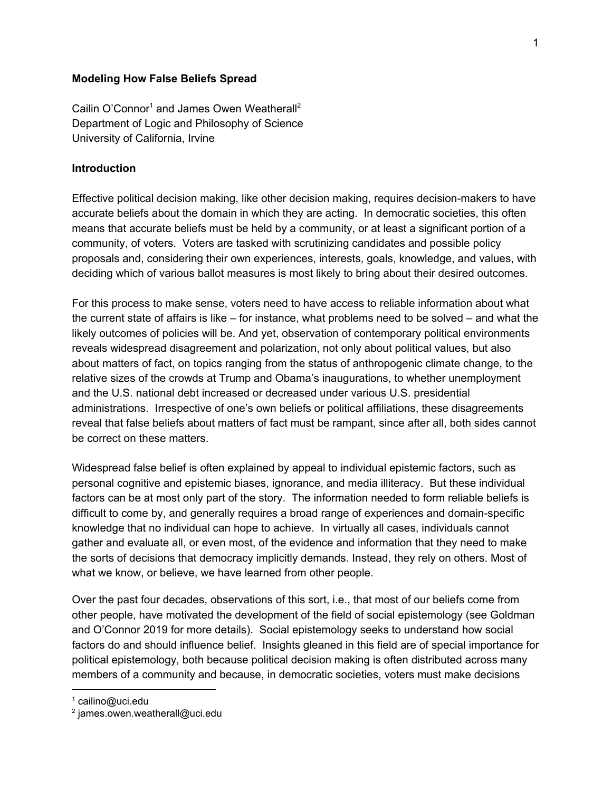#### **Modeling How False Beliefs Spread**

Cailin O'Connor<sup>1</sup> and James Owen Weatherall<sup>2</sup> Department of Logic and Philosophy of Science University of California, Irvine

#### **Introduction**

Effective political decision making, like other decision making, requires decision-makers to have accurate beliefs about the domain in which they are acting. In democratic societies, this often means that accurate beliefs must be held by a community, or at least a significant portion of a community, of voters. Voters are tasked with scrutinizing candidates and possible policy proposals and, considering their own experiences, interests, goals, knowledge, and values, with deciding which of various ballot measures is most likely to bring about their desired outcomes.

For this process to make sense, voters need to have access to reliable information about what the current state of affairs is like – for instance, what problems need to be solved – and what the likely outcomes of policies will be. And yet, observation of contemporary political environments reveals widespread disagreement and polarization, not only about political values, but also about matters of fact, on topics ranging from the status of anthropogenic climate change, to the relative sizes of the crowds at Trump and Obama's inaugurations, to whether unemployment and the U.S. national debt increased or decreased under various U.S. presidential administrations. Irrespective of one's own beliefs or political affiliations, these disagreements reveal that false beliefs about matters of fact must be rampant, since after all, both sides cannot be correct on these matters.

Widespread false belief is often explained by appeal to individual epistemic factors, such as personal cognitive and epistemic biases, ignorance, and media illiteracy. But these individual factors can be at most only part of the story. The information needed to form reliable beliefs is difficult to come by, and generally requires a broad range of experiences and domain-specific knowledge that no individual can hope to achieve. In virtually all cases, individuals cannot gather and evaluate all, or even most, of the evidence and information that they need to make the sorts of decisions that democracy implicitly demands. Instead, they rely on others. Most of what we know, or believe, we have learned from other people.

Over the past four decades, observations of this sort, i.e., that most of our beliefs come from other people, have motivated the development of the field of social epistemology (see Goldman and O'Connor 2019 for more details). Social epistemology seeks to understand how social factors do and should influence belief. Insights gleaned in this field are of special importance for political epistemology, both because political decision making is often distributed across many members of a community and because, in democratic societies, voters must make decisions

<sup>1</sup> cailino@uci.edu

<sup>2</sup> james.owen.weatherall@uci.edu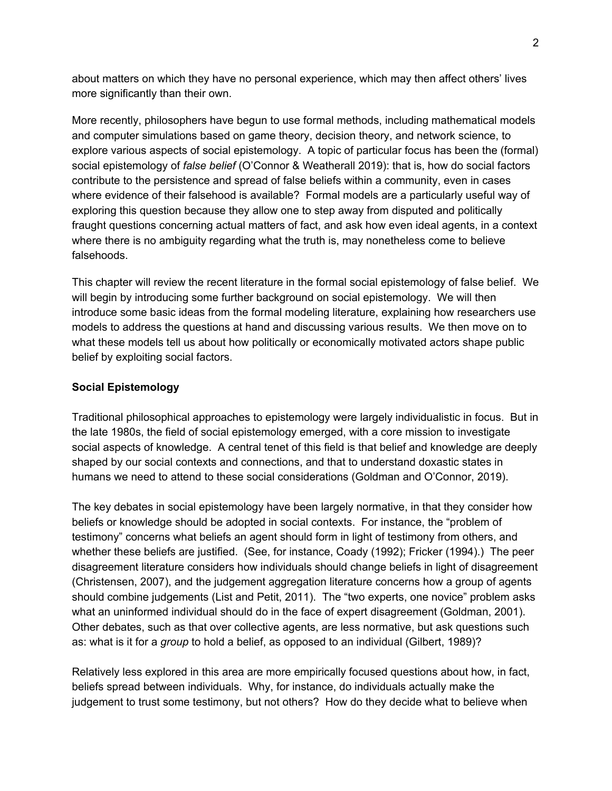about matters on which they have no personal experience, which may then affect others' lives more significantly than their own.

More recently, philosophers have begun to use formal methods, including mathematical models and computer simulations based on game theory, decision theory, and network science, to explore various aspects of social epistemology. A topic of particular focus has been the (formal) social epistemology of *false belief* (O'Connor & Weatherall 2019): that is, how do social factors contribute to the persistence and spread of false beliefs within a community, even in cases where evidence of their falsehood is available? Formal models are a particularly useful way of exploring this question because they allow one to step away from disputed and politically fraught questions concerning actual matters of fact, and ask how even ideal agents, in a context where there is no ambiguity regarding what the truth is, may nonetheless come to believe falsehoods.

This chapter will review the recent literature in the formal social epistemology of false belief. We will begin by introducing some further background on social epistemology. We will then introduce some basic ideas from the formal modeling literature, explaining how researchers use models to address the questions at hand and discussing various results. We then move on to what these models tell us about how politically or economically motivated actors shape public belief by exploiting social factors.

# **Social Epistemology**

Traditional philosophical approaches to epistemology were largely individualistic in focus. But in the late 1980s, the field of social epistemology emerged, with a core mission to investigate social aspects of knowledge. A central tenet of this field is that belief and knowledge are deeply shaped by our social contexts and connections, and that to understand doxastic states in humans we need to attend to these social considerations (Goldman and O'Connor, 2019).

The key debates in social epistemology have been largely normative, in that they consider how beliefs or knowledge should be adopted in social contexts. For instance, the "problem of testimony" concerns what beliefs an agent should form in light of testimony from others, and whether these beliefs are justified. (See, for instance, Coady (1992); Fricker (1994).) The peer disagreement literature considers how individuals should change beliefs in light of disagreement (Christensen, 2007), and the judgement aggregation literature concerns how a group of agents should combine judgements (List and Petit, 2011). The "two experts, one novice" problem asks what an uninformed individual should do in the face of expert disagreement (Goldman, 2001). Other debates, such as that over collective agents, are less normative, but ask questions such as: what is it for a *group* to hold a belief, as opposed to an individual (Gilbert, 1989)?

Relatively less explored in this area are more empirically focused questions about how, in fact, beliefs spread between individuals. Why, for instance, do individuals actually make the judgement to trust some testimony, but not others? How do they decide what to believe when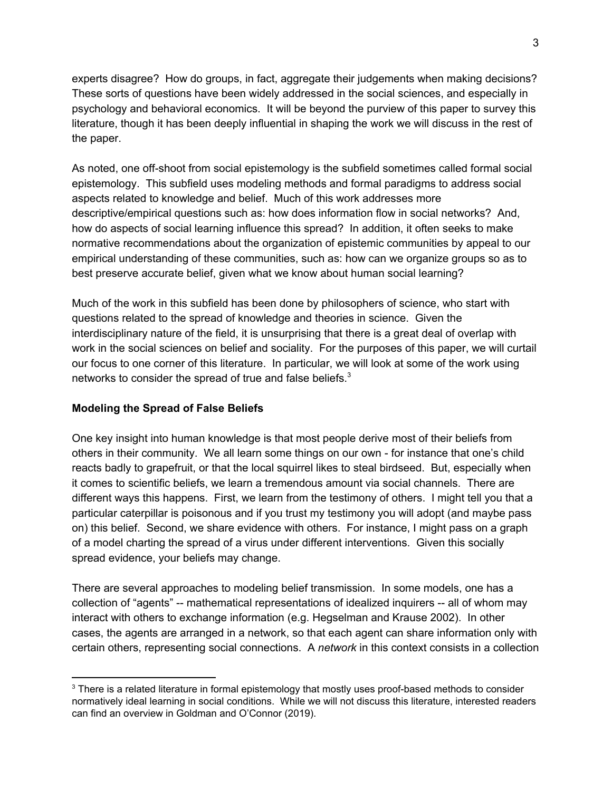experts disagree? How do groups, in fact, aggregate their judgements when making decisions? These sorts of questions have been widely addressed in the social sciences, and especially in psychology and behavioral economics. It will be beyond the purview of this paper to survey this literature, though it has been deeply influential in shaping the work we will discuss in the rest of the paper.

As noted, one off-shoot from social epistemology is the subfield sometimes called formal social epistemology. This subfield uses modeling methods and formal paradigms to address social aspects related to knowledge and belief. Much of this work addresses more descriptive/empirical questions such as: how does information flow in social networks? And, how do aspects of social learning influence this spread? In addition, it often seeks to make normative recommendations about the organization of epistemic communities by appeal to our empirical understanding of these communities, such as: how can we organize groups so as to best preserve accurate belief, given what we know about human social learning?

Much of the work in this subfield has been done by philosophers of science, who start with questions related to the spread of knowledge and theories in science. Given the interdisciplinary nature of the field, it is unsurprising that there is a great deal of overlap with work in the social sciences on belief and sociality. For the purposes of this paper, we will curtail our focus to one corner of this literature. In particular, we will look at some of the work using networks to consider the spread of true and false beliefs.<sup>3</sup>

## **Modeling the Spread of False Beliefs**

One key insight into human knowledge is that most people derive most of their beliefs from others in their community. We all learn some things on our own - for instance that one's child reacts badly to grapefruit, or that the local squirrel likes to steal birdseed. But, especially when it comes to scientific beliefs, we learn a tremendous amount via social channels. There are different ways this happens. First, we learn from the testimony of others. I might tell you that a particular caterpillar is poisonous and if you trust my testimony you will adopt (and maybe pass on) this belief. Second, we share evidence with others. For instance, I might pass on a graph of a model charting the spread of a virus under different interventions. Given this socially spread evidence, your beliefs may change.

There are several approaches to modeling belief transmission. In some models, one has a collection of "agents" -- mathematical representations of idealized inquirers -- all of whom may interact with others to exchange information (e.g. Hegselman and Krause 2002). In other cases, the agents are arranged in a network, so that each agent can share information only with certain others, representing social connections. A *network* in this context consists in a collection

<sup>&</sup>lt;sup>3</sup> There is a related literature in formal epistemology that mostly uses proof-based methods to consider normatively ideal learning in social conditions. While we will not discuss this literature, interested readers can find an overview in Goldman and O'Connor (2019).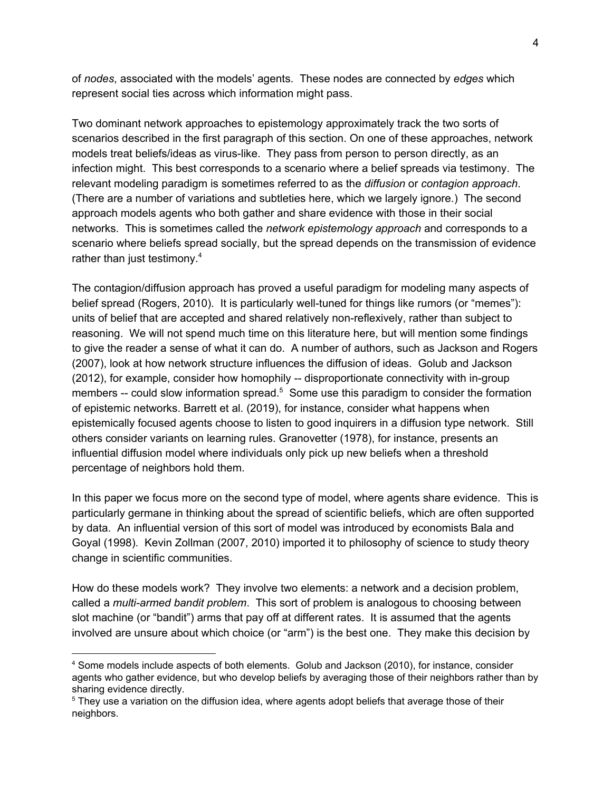of *nodes*, associated with the models' agents. These nodes are connected by *edges* which represent social ties across which information might pass.

Two dominant network approaches to epistemology approximately track the two sorts of scenarios described in the first paragraph of this section. On one of these approaches, network models treat beliefs/ideas as virus-like. They pass from person to person directly, as an infection might. This best corresponds to a scenario where a belief spreads via testimony. The relevant modeling paradigm is sometimes referred to as the *diffusion* or *contagion approach*. (There are a number of variations and subtleties here, which we largely ignore.) The second approach models agents who both gather and share evidence with those in their social networks. This is sometimes called the *network epistemology approach* and corresponds to a scenario where beliefs spread socially, but the spread depends on the transmission of evidence rather than just testimony.<sup>4</sup>

The contagion/diffusion approach has proved a useful paradigm for modeling many aspects of belief spread (Rogers, 2010). It is particularly well-tuned for things like rumors (or "memes"): units of belief that are accepted and shared relatively non-reflexively, rather than subject to reasoning. We will not spend much time on this literature here, but will mention some findings to give the reader a sense of what it can do. A number of authors, such as Jackson and Rogers (2007), look at how network structure influences the diffusion of ideas. Golub and Jackson (2012), for example, consider how homophily -- disproportionate connectivity with in-group members  $-$  could slow information spread.<sup>5</sup> Some use this paradigm to consider the formation of epistemic networks. Barrett et al. (2019), for instance, consider what happens when epistemically focused agents choose to listen to good inquirers in a diffusion type network. Still others consider variants on learning rules. Granovetter (1978), for instance, presents an influential diffusion model where individuals only pick up new beliefs when a threshold percentage of neighbors hold them.

In this paper we focus more on the second type of model, where agents share evidence. This is particularly germane in thinking about the spread of scientific beliefs, which are often supported by data. An influential version of this sort of model was introduced by economists Bala and Goyal (1998). Kevin Zollman (2007, 2010) imported it to philosophy of science to study theory change in scientific communities.

How do these models work? They involve two elements: a network and a decision problem, called a *multi-armed bandit problem*. This sort of problem is analogous to choosing between slot machine (or "bandit") arms that pay off at different rates. It is assumed that the agents involved are unsure about which choice (or "arm") is the best one. They make this decision by

<sup>4</sup> Some models include aspects of both elements. Golub and Jackson (2010), for instance, consider agents who gather evidence, but who develop beliefs by averaging those of their neighbors rather than by sharing evidence directly.

<sup>&</sup>lt;sup>5</sup> They use a variation on the diffusion idea, where agents adopt beliefs that average those of their neighbors.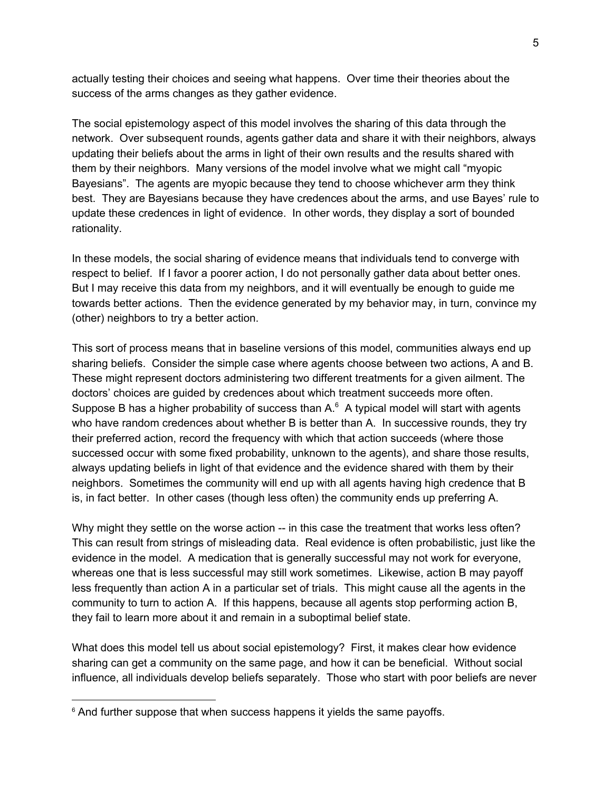actually testing their choices and seeing what happens. Over time their theories about the success of the arms changes as they gather evidence.

The social epistemology aspect of this model involves the sharing of this data through the network. Over subsequent rounds, agents gather data and share it with their neighbors, always updating their beliefs about the arms in light of their own results and the results shared with them by their neighbors. Many versions of the model involve what we might call "myopic Bayesians". The agents are myopic because they tend to choose whichever arm they think best. They are Bayesians because they have credences about the arms, and use Bayes' rule to update these credences in light of evidence. In other words, they display a sort of bounded rationality.

In these models, the social sharing of evidence means that individuals tend to converge with respect to belief. If I favor a poorer action, I do not personally gather data about better ones. But I may receive this data from my neighbors, and it will eventually be enough to guide me towards better actions. Then the evidence generated by my behavior may, in turn, convince my (other) neighbors to try a better action.

This sort of process means that in baseline versions of this model, communities always end up sharing beliefs. Consider the simple case where agents choose between two actions, A and B. These might represent doctors administering two different treatments for a given ailment. The doctors' choices are guided by credences about which treatment succeeds more often. Suppose B has a higher probability of success than  $A<sup>6</sup>$  A typical model will start with agents who have random credences about whether B is better than A. In successive rounds, they try their preferred action, record the frequency with which that action succeeds (where those successed occur with some fixed probability, unknown to the agents), and share those results, always updating beliefs in light of that evidence and the evidence shared with them by their neighbors. Sometimes the community will end up with all agents having high credence that B is, in fact better. In other cases (though less often) the community ends up preferring A.

Why might they settle on the worse action -- in this case the treatment that works less often? This can result from strings of misleading data. Real evidence is often probabilistic, just like the evidence in the model. A medication that is generally successful may not work for everyone, whereas one that is less successful may still work sometimes. Likewise, action B may payoff less frequently than action A in a particular set of trials. This might cause all the agents in the community to turn to action A. If this happens, because all agents stop performing action B, they fail to learn more about it and remain in a suboptimal belief state.

What does this model tell us about social epistemology? First, it makes clear how evidence sharing can get a community on the same page, and how it can be beneficial. Without social influence, all individuals develop beliefs separately. Those who start with poor beliefs are never

<sup>&</sup>lt;sup>6</sup> And further suppose that when success happens it yields the same payoffs.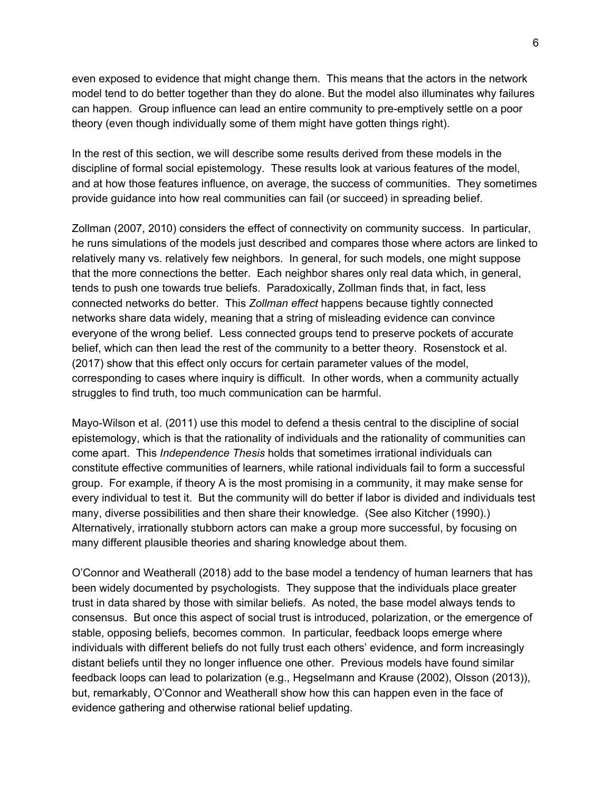even exposed to evidence that might change them. This means that the actors in the network model tend to do better together than they do alone. But the model also illuminates why failures can happen. Group influence can lead an entire community to pre-emptively settle on a poor theory (even though individually some of them might have gotten things right).

In the rest of this section, we will describe some results derived from these models in the discipline of formal social epistemology. These results look at various features of the model, and at how those features influence, on average, the success of communities. They sometimes provide guidance into how real communities can fail (or succeed) in spreading belief.

Zollman (2007, 2010) considers the effect of connectivity on community success. In particular, he runs simulations of the models just described and compares those where actors are linked to relatively many vs. relatively few neighbors. In general, for such models, one might suppose that the more connections the better. Each neighbor shares only real data which, in general, tends to push one towards true beliefs. Paradoxically, Zollman finds that, in fact, less connected networks do better. This *Zollman effect* happens because tightly connected networks share data widely, meaning that a string of misleading evidence can convince everyone of the wrong belief. Less connected groups tend to preserve pockets of accurate belief, which can then lead the rest of the community to a better theory. Rosenstock et al. (2017) show that this effect only occurs for certain parameter values of the model, corresponding to cases where inquiry is difficult. In other words, when a community actually struggles to find truth, too much communication can be harmful.

Mayo-Wilson et al. (2011) use this model to defend a thesis central to the discipline of social epistemology, which is that the rationality of individuals and the rationality of communities can come apart. This *Independence Thesis* holds that sometimes irrational individuals can constitute effective communities of learners, while rational individuals fail to form a successful group. For example, if theory A is the most promising in a community, it may make sense for every individual to test it. But the community will do better if labor is divided and individuals test many, diverse possibilities and then share their knowledge. (See also Kitcher (1990).) Alternatively, irrationally stubborn actors can make a group more successful, by focusing on many different plausible theories and sharing knowledge about them.

O'Connor and Weatherall (2018) add to the base model a tendency of human learners that has been widely documented by psychologists. They suppose that the individuals place greater trust in data shared by those with similar beliefs. As noted, the base model always tends to consensus. But once this aspect of social trust is introduced, polarization, or the emergence of stable, opposing beliefs, becomes common. In particular, feedback loops emerge where individuals with different beliefs do not fully trust each others' evidence, and form increasingly distant beliefs until they no longer influence one other. Previous models have found similar feedback loops can lead to polarization (e.g., Hegselmann and Krause (2002), Olsson (2013)), but, remarkably, O'Connor and Weatherall show how this can happen even in the face of evidence gathering and otherwise rational belief updating.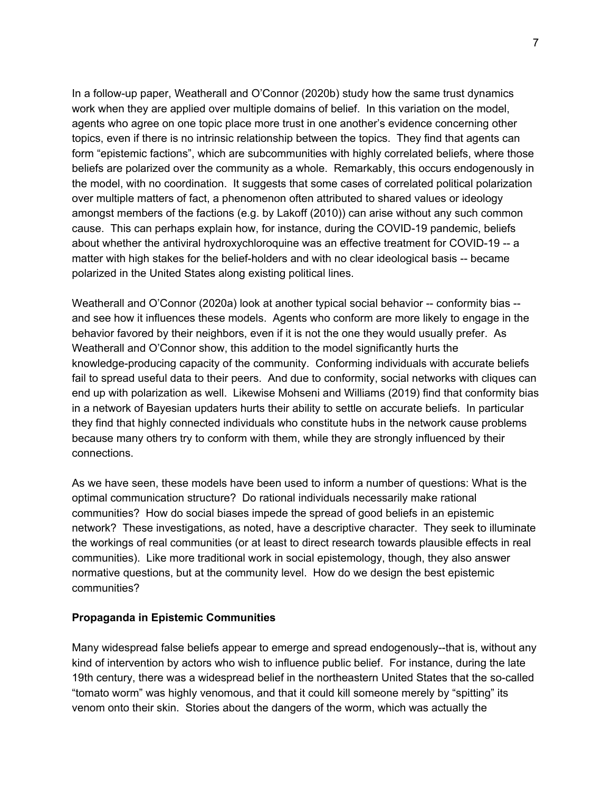In a follow-up paper, Weatherall and O'Connor (2020b) study how the same trust dynamics work when they are applied over multiple domains of belief. In this variation on the model, agents who agree on one topic place more trust in one another's evidence concerning other topics, even if there is no intrinsic relationship between the topics. They find that agents can form "epistemic factions", which are subcommunities with highly correlated beliefs, where those beliefs are polarized over the community as a whole. Remarkably, this occurs endogenously in the model, with no coordination. It suggests that some cases of correlated political polarization over multiple matters of fact, a phenomenon often attributed to shared values or ideology amongst members of the factions (e.g. by Lakoff (2010)) can arise without any such common cause. This can perhaps explain how, for instance, during the COVID-19 pandemic, beliefs about whether the antiviral hydroxychloroquine was an effective treatment for COVID-19 -- a matter with high stakes for the belief-holders and with no clear ideological basis -- became polarized in the United States along existing political lines.

Weatherall and O'Connor (2020a) look at another typical social behavior -- conformity bias - and see how it influences these models. Agents who conform are more likely to engage in the behavior favored by their neighbors, even if it is not the one they would usually prefer. As Weatherall and O'Connor show, this addition to the model significantly hurts the knowledge-producing capacity of the community. Conforming individuals with accurate beliefs fail to spread useful data to their peers. And due to conformity, social networks with cliques can end up with polarization as well. Likewise Mohseni and Williams (2019) find that conformity bias in a network of Bayesian updaters hurts their ability to settle on accurate beliefs. In particular they find that highly connected individuals who constitute hubs in the network cause problems because many others try to conform with them, while they are strongly influenced by their connections.

As we have seen, these models have been used to inform a number of questions: What is the optimal communication structure? Do rational individuals necessarily make rational communities? How do social biases impede the spread of good beliefs in an epistemic network? These investigations, as noted, have a descriptive character. They seek to illuminate the workings of real communities (or at least to direct research towards plausible effects in real communities). Like more traditional work in social epistemology, though, they also answer normative questions, but at the community level. How do we design the best epistemic communities?

#### **Propaganda in Epistemic Communities**

Many widespread false beliefs appear to emerge and spread endogenously--that is, without any kind of intervention by actors who wish to influence public belief. For instance, during the late 19th century, there was a widespread belief in the northeastern United States that the so-called "tomato worm" was highly venomous, and that it could kill someone merely by "spitting" its venom onto their skin. Stories about the dangers of the worm, which was actually the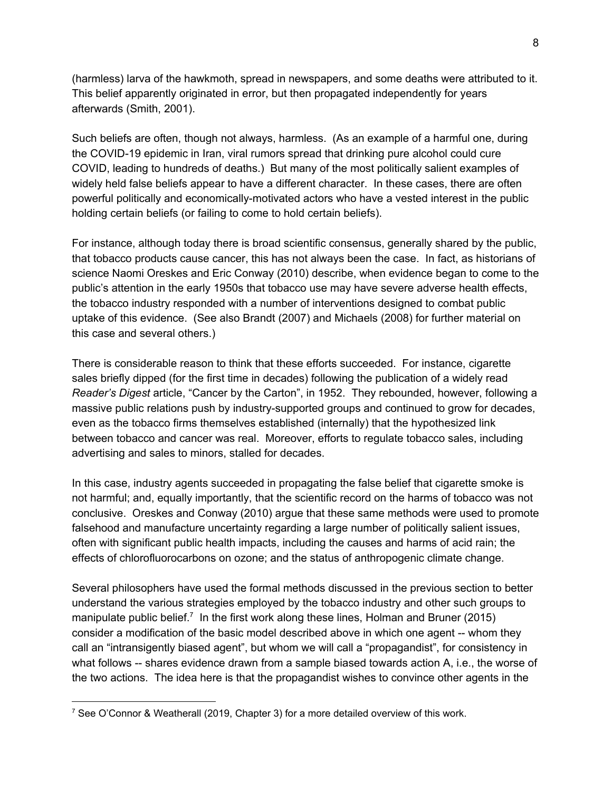(harmless) larva of the hawkmoth, spread in newspapers, and some deaths were attributed to it. This belief apparently originated in error, but then propagated independently for years afterwards (Smith, 2001).

Such beliefs are often, though not always, harmless. (As an example of a harmful one, during the COVID-19 epidemic in Iran, viral rumors spread that drinking pure alcohol could cure COVID, leading to hundreds of deaths.) But many of the most politically salient examples of widely held false beliefs appear to have a different character. In these cases, there are often powerful politically and economically-motivated actors who have a vested interest in the public holding certain beliefs (or failing to come to hold certain beliefs).

For instance, although today there is broad scientific consensus, generally shared by the public, that tobacco products cause cancer, this has not always been the case. In fact, as historians of science Naomi Oreskes and Eric Conway (2010) describe, when evidence began to come to the public's attention in the early 1950s that tobacco use may have severe adverse health effects, the tobacco industry responded with a number of interventions designed to combat public uptake of this evidence. (See also Brandt (2007) and Michaels (2008) for further material on this case and several others.)

There is considerable reason to think that these efforts succeeded. For instance, cigarette sales briefly dipped (for the first time in decades) following the publication of a widely read *Reader's Digest* article, "Cancer by the Carton", in 1952. They rebounded, however, following a massive public relations push by industry-supported groups and continued to grow for decades, even as the tobacco firms themselves established (internally) that the hypothesized link between tobacco and cancer was real. Moreover, efforts to regulate tobacco sales, including advertising and sales to minors, stalled for decades.

In this case, industry agents succeeded in propagating the false belief that cigarette smoke is not harmful; and, equally importantly, that the scientific record on the harms of tobacco was not conclusive. Oreskes and Conway (2010) argue that these same methods were used to promote falsehood and manufacture uncertainty regarding a large number of politically salient issues, often with significant public health impacts, including the causes and harms of acid rain; the effects of chlorofluorocarbons on ozone; and the status of anthropogenic climate change.

Several philosophers have used the formal methods discussed in the previous section to better understand the various strategies employed by the tobacco industry and other such groups to manipulate public belief.<sup>7</sup> In the first work along these lines, Holman and Bruner (2015) consider a modification of the basic model described above in which one agent -- whom they call an "intransigently biased agent", but whom we will call a "propagandist", for consistency in what follows -- shares evidence drawn from a sample biased towards action A, i.e., the worse of the two actions. The idea here is that the propagandist wishes to convince other agents in the

<sup>7</sup> See O'Connor & Weatherall (2019, Chapter 3) for a more detailed overview of this work.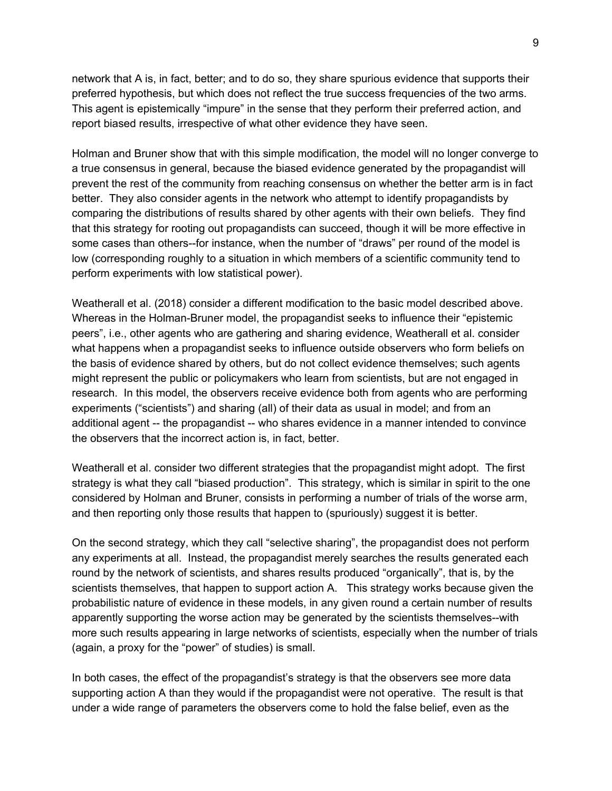network that A is, in fact, better; and to do so, they share spurious evidence that supports their preferred hypothesis, but which does not reflect the true success frequencies of the two arms. This agent is epistemically "impure" in the sense that they perform their preferred action, and report biased results, irrespective of what other evidence they have seen.

Holman and Bruner show that with this simple modification, the model will no longer converge to a true consensus in general, because the biased evidence generated by the propagandist will prevent the rest of the community from reaching consensus on whether the better arm is in fact better. They also consider agents in the network who attempt to identify propagandists by comparing the distributions of results shared by other agents with their own beliefs. They find that this strategy for rooting out propagandists can succeed, though it will be more effective in some cases than others--for instance, when the number of "draws" per round of the model is low (corresponding roughly to a situation in which members of a scientific community tend to perform experiments with low statistical power).

Weatherall et al. (2018) consider a different modification to the basic model described above. Whereas in the Holman-Bruner model, the propagandist seeks to influence their "epistemic peers", i.e., other agents who are gathering and sharing evidence, Weatherall et al. consider what happens when a propagandist seeks to influence outside observers who form beliefs on the basis of evidence shared by others, but do not collect evidence themselves; such agents might represent the public or policymakers who learn from scientists, but are not engaged in research. In this model, the observers receive evidence both from agents who are performing experiments ("scientists") and sharing (all) of their data as usual in model; and from an additional agent -- the propagandist -- who shares evidence in a manner intended to convince the observers that the incorrect action is, in fact, better.

Weatherall et al. consider two different strategies that the propagandist might adopt. The first strategy is what they call "biased production". This strategy, which is similar in spirit to the one considered by Holman and Bruner, consists in performing a number of trials of the worse arm, and then reporting only those results that happen to (spuriously) suggest it is better.

On the second strategy, which they call "selective sharing", the propagandist does not perform any experiments at all. Instead, the propagandist merely searches the results generated each round by the network of scientists, and shares results produced "organically", that is, by the scientists themselves, that happen to support action A. This strategy works because given the probabilistic nature of evidence in these models, in any given round a certain number of results apparently supporting the worse action may be generated by the scientists themselves--with more such results appearing in large networks of scientists, especially when the number of trials (again, a proxy for the "power" of studies) is small.

In both cases, the effect of the propagandist's strategy is that the observers see more data supporting action A than they would if the propagandist were not operative. The result is that under a wide range of parameters the observers come to hold the false belief, even as the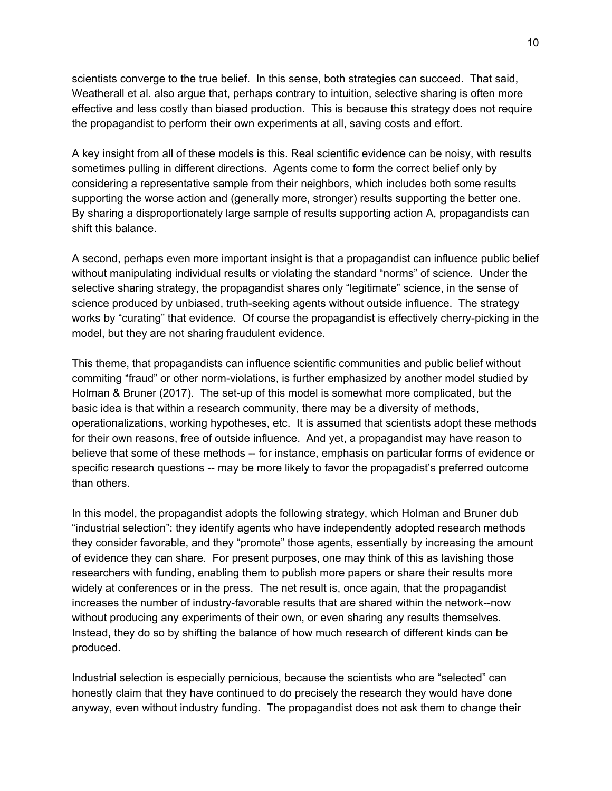scientists converge to the true belief. In this sense, both strategies can succeed. That said, Weatherall et al. also argue that, perhaps contrary to intuition, selective sharing is often more effective and less costly than biased production. This is because this strategy does not require the propagandist to perform their own experiments at all, saving costs and effort.

A key insight from all of these models is this. Real scientific evidence can be noisy, with results sometimes pulling in different directions. Agents come to form the correct belief only by considering a representative sample from their neighbors, which includes both some results supporting the worse action and (generally more, stronger) results supporting the better one. By sharing a disproportionately large sample of results supporting action A, propagandists can shift this balance.

A second, perhaps even more important insight is that a propagandist can influence public belief without manipulating individual results or violating the standard "norms" of science. Under the selective sharing strategy, the propagandist shares only "legitimate" science, in the sense of science produced by unbiased, truth-seeking agents without outside influence. The strategy works by "curating" that evidence. Of course the propagandist is effectively cherry-picking in the model, but they are not sharing fraudulent evidence.

This theme, that propagandists can influence scientific communities and public belief without commiting "fraud" or other norm-violations, is further emphasized by another model studied by Holman & Bruner (2017). The set-up of this model is somewhat more complicated, but the basic idea is that within a research community, there may be a diversity of methods, operationalizations, working hypotheses, etc. It is assumed that scientists adopt these methods for their own reasons, free of outside influence. And yet, a propagandist may have reason to believe that some of these methods -- for instance, emphasis on particular forms of evidence or specific research questions -- may be more likely to favor the propagadist's preferred outcome than others.

In this model, the propagandist adopts the following strategy, which Holman and Bruner dub "industrial selection": they identify agents who have independently adopted research methods they consider favorable, and they "promote" those agents, essentially by increasing the amount of evidence they can share. For present purposes, one may think of this as lavishing those researchers with funding, enabling them to publish more papers or share their results more widely at conferences or in the press. The net result is, once again, that the propagandist increases the number of industry-favorable results that are shared within the network--now without producing any experiments of their own, or even sharing any results themselves. Instead, they do so by shifting the balance of how much research of different kinds can be produced.

Industrial selection is especially pernicious, because the scientists who are "selected" can honestly claim that they have continued to do precisely the research they would have done anyway, even without industry funding. The propagandist does not ask them to change their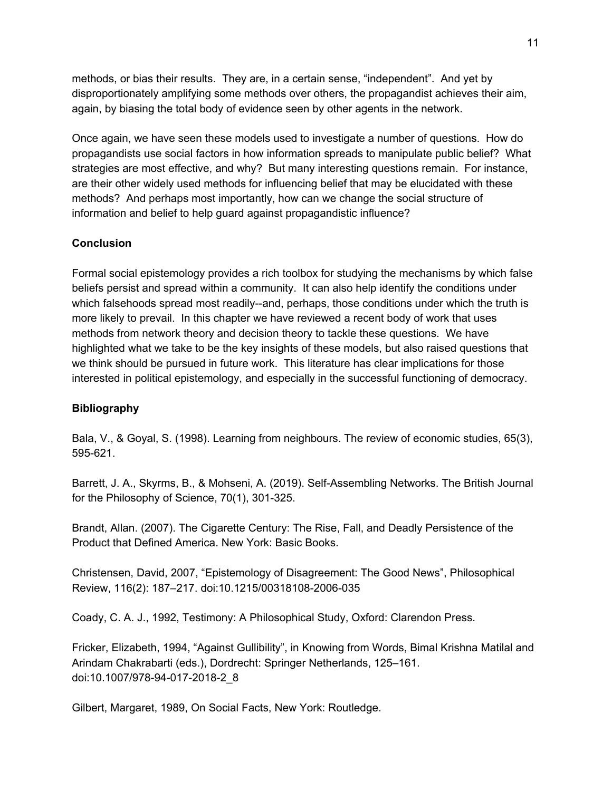methods, or bias their results. They are, in a certain sense, "independent". And yet by disproportionately amplifying some methods over others, the propagandist achieves their aim, again, by biasing the total body of evidence seen by other agents in the network.

Once again, we have seen these models used to investigate a number of questions. How do propagandists use social factors in how information spreads to manipulate public belief? What strategies are most effective, and why? But many interesting questions remain. For instance, are their other widely used methods for influencing belief that may be elucidated with these methods? And perhaps most importantly, how can we change the social structure of information and belief to help guard against propagandistic influence?

## **Conclusion**

Formal social epistemology provides a rich toolbox for studying the mechanisms by which false beliefs persist and spread within a community. It can also help identify the conditions under which falsehoods spread most readily--and, perhaps, those conditions under which the truth is more likely to prevail. In this chapter we have reviewed a recent body of work that uses methods from network theory and decision theory to tackle these questions. We have highlighted what we take to be the key insights of these models, but also raised questions that we think should be pursued in future work. This literature has clear implications for those interested in political epistemology, and especially in the successful functioning of democracy.

## **Bibliography**

Bala, V., & Goyal, S. (1998). Learning from neighbours. The review of economic studies, 65(3), 595-621.

Barrett, J. A., Skyrms, B., & Mohseni, A. (2019). Self-Assembling Networks. The British Journal for the Philosophy of Science, 70(1), 301-325.

Brandt, Allan. (2007). The Cigarette Century: The Rise, Fall, and Deadly Persistence of the Product that Defined America. New York: Basic Books.

Christensen, David, 2007, "Epistemology of Disagreement: The Good News", Philosophical Review, 116(2): 187–217. doi:10.1215/00318108-2006-035

Coady, C. A. J., 1992, Testimony: A Philosophical Study, Oxford: Clarendon Press.

Fricker, Elizabeth, 1994, "Against Gullibility", in Knowing from Words, Bimal Krishna Matilal and Arindam Chakrabarti (eds.), Dordrecht: Springer Netherlands, 125–161. doi:10.1007/978-94-017-2018-2\_8

Gilbert, Margaret, 1989, On Social Facts, New York: Routledge.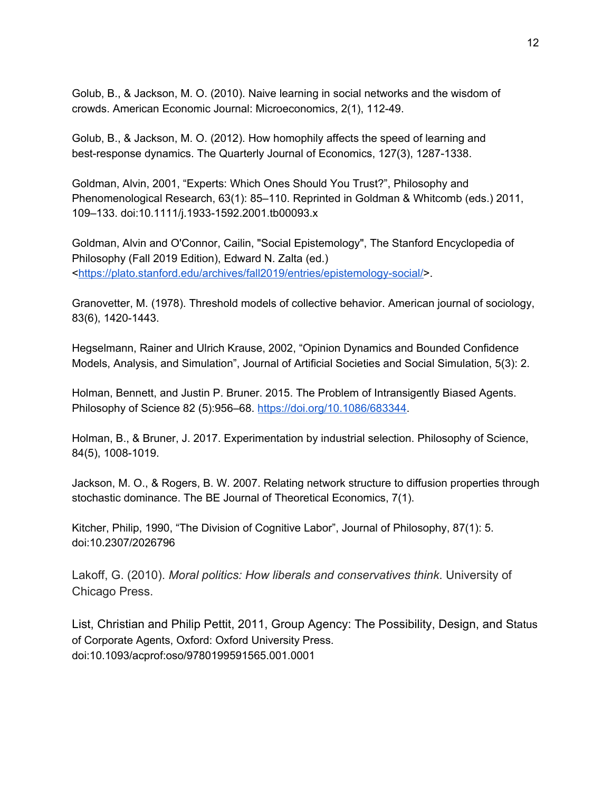Golub, B., & Jackson, M. O. (2010). Naive learning in social networks and the wisdom of crowds. American Economic Journal: Microeconomics, 2(1), 112-49.

Golub, B., & Jackson, M. O. (2012). How homophily affects the speed of learning and best-response dynamics. The Quarterly Journal of Economics, 127(3), 1287-1338.

Goldman, Alvin, 2001, "Experts: Which Ones Should You Trust?", Philosophy and Phenomenological Research, 63(1): 85–110. Reprinted in Goldman & Whitcomb (eds.) 2011, 109–133. doi:10.1111/j.1933-1592.2001.tb00093.x

Goldman, Alvin and O'Connor, Cailin, "Social Epistemology", The Stanford Encyclopedia of Philosophy (Fall 2019 Edition), Edward N. Zalta (ed.) <[https://plato.stanford.edu/archives/fall2019/entries/epistemology-social/>](https://plato.stanford.edu/archives/fall2019/entries/epistemology-social/).

Granovetter, M. (1978). Threshold models of collective behavior. American journal of sociology, 83(6), 1420-1443.

Hegselmann, Rainer and Ulrich Krause, 2002, "Opinion Dynamics and Bounded Confidence Models, Analysis, and Simulation", Journal of Artificial Societies and Social Simulation, 5(3): 2.

Holman, Bennett, and Justin P. Bruner. 2015. The Problem of Intransigently Biased Agents. Philosophy of Science 82 (5):956–68. [https://doi.org/10.1086/683344.](https://doi.org/10.1086/683344)

Holman, B., & Bruner, J. 2017. Experimentation by industrial selection. Philosophy of Science, 84(5), 1008-1019.

Jackson, M. O., & Rogers, B. W. 2007. Relating network structure to diffusion properties through stochastic dominance. The BE Journal of Theoretical Economics, 7(1).

Kitcher, Philip, 1990, "The Division of Cognitive Labor", Journal of Philosophy, 87(1): 5. doi:10.2307/2026796

Lakoff, G. (2010). *Moral politics: How liberals and conservatives think*. University of Chicago Press.

List, Christian and Philip Pettit, 2011, Group Agency: The Possibility, Design, and Status of Corporate Agents, Oxford: Oxford University Press. doi:10.1093/acprof:oso/9780199591565.001.0001